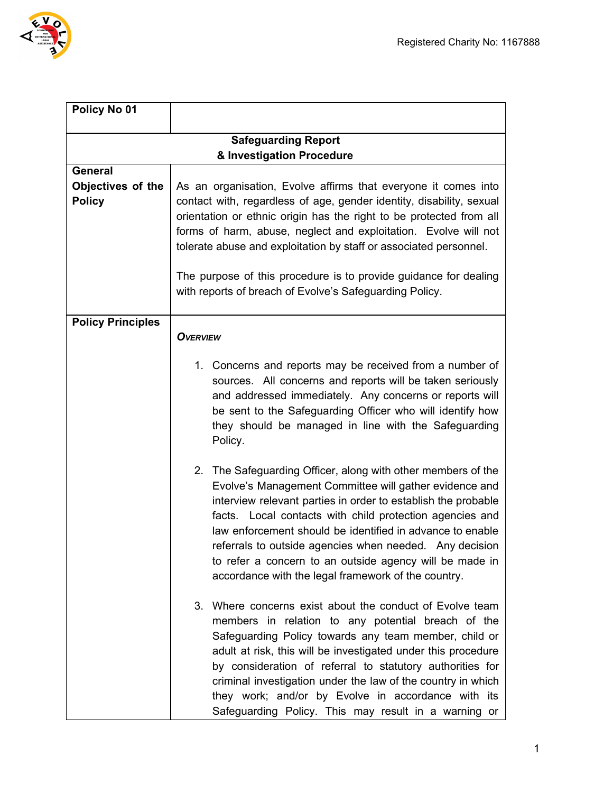

| Policy No 01                       |                                                                                                                                                                                                                                                                                                                                                                                                                                                                                               |  |  |  |
|------------------------------------|-----------------------------------------------------------------------------------------------------------------------------------------------------------------------------------------------------------------------------------------------------------------------------------------------------------------------------------------------------------------------------------------------------------------------------------------------------------------------------------------------|--|--|--|
| <b>Safeguarding Report</b>         |                                                                                                                                                                                                                                                                                                                                                                                                                                                                                               |  |  |  |
|                                    | & Investigation Procedure                                                                                                                                                                                                                                                                                                                                                                                                                                                                     |  |  |  |
| <b>General</b>                     |                                                                                                                                                                                                                                                                                                                                                                                                                                                                                               |  |  |  |
| Objectives of the<br><b>Policy</b> | As an organisation, Evolve affirms that everyone it comes into<br>contact with, regardless of age, gender identity, disability, sexual<br>orientation or ethnic origin has the right to be protected from all<br>forms of harm, abuse, neglect and exploitation. Evolve will not<br>tolerate abuse and exploitation by staff or associated personnel.                                                                                                                                         |  |  |  |
|                                    | The purpose of this procedure is to provide guidance for dealing<br>with reports of breach of Evolve's Safeguarding Policy.                                                                                                                                                                                                                                                                                                                                                                   |  |  |  |
| <b>Policy Principles</b>           |                                                                                                                                                                                                                                                                                                                                                                                                                                                                                               |  |  |  |
|                                    | <b>OVERVIEW</b>                                                                                                                                                                                                                                                                                                                                                                                                                                                                               |  |  |  |
|                                    | 1. Concerns and reports may be received from a number of<br>sources. All concerns and reports will be taken seriously<br>and addressed immediately. Any concerns or reports will<br>be sent to the Safeguarding Officer who will identify how<br>they should be managed in line with the Safeguarding<br>Policy.                                                                                                                                                                              |  |  |  |
|                                    | 2. The Safeguarding Officer, along with other members of the<br>Evolve's Management Committee will gather evidence and<br>interview relevant parties in order to establish the probable<br>facts. Local contacts with child protection agencies and<br>law enforcement should be identified in advance to enable<br>referrals to outside agencies when needed. Any decision<br>to refer a concern to an outside agency will be made in<br>accordance with the legal framework of the country. |  |  |  |
|                                    | Where concerns exist about the conduct of Evolve team<br>3.<br>members in relation to any potential breach of the<br>Safeguarding Policy towards any team member, child or<br>adult at risk, this will be investigated under this procedure<br>by consideration of referral to statutory authorities for<br>criminal investigation under the law of the country in which<br>they work; and/or by Evolve in accordance with its<br>Safeguarding Policy. This may result in a warning or        |  |  |  |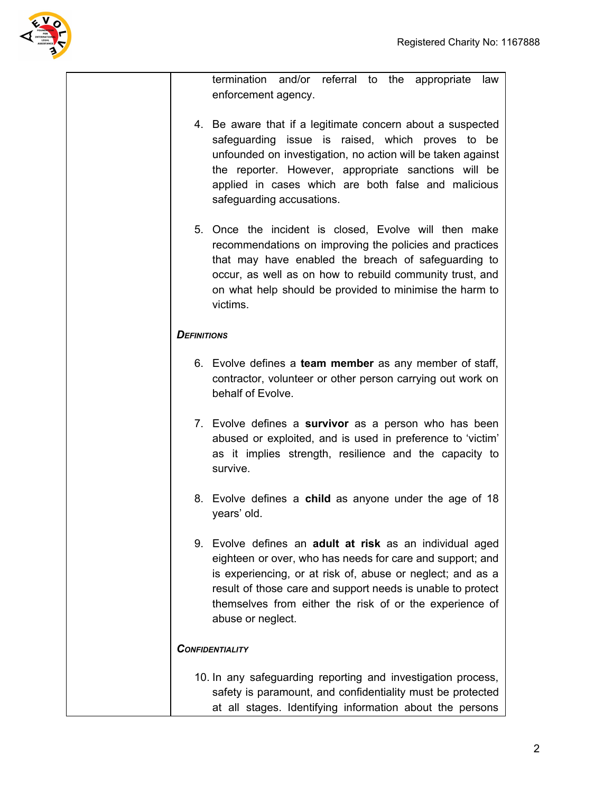

termination and/or referral to the appropriate law enforcement agency.

- 4. Be aware that if a legitimate concern about a suspected safeguarding issue is raised, which proves to be unfounded on investigation, no action will be taken against the reporter. However, appropriate sanctions will be applied in cases which are both false and malicious safeguarding accusations.
- 5. Once the incident is closed, Evolve will then make recommendations on improving the policies and practices that may have enabled the breach of safeguarding to occur, as well as on how to rebuild community trust, and on what help should be provided to minimise the harm to victims.

### *DEFINITIONS*

- 6. Evolve defines a **team member** as any member of staff, contractor, volunteer or other person carrying out work on behalf of Evolve.
- 7. Evolve defines a **survivor** as a person who has been abused or exploited, and is used in preference to 'victim' as it implies strength, resilience and the capacity to survive.
- 8. Evolve defines a **child** as anyone under the age of 18 years' old.
- 9. Evolve defines an **adult at risk** as an individual aged eighteen or over, who has needs for care and support; and is experiencing, or at risk of, abuse or neglect; and as a result of those care and support needs is unable to protect themselves from either the risk of or the experience of abuse or neglect.

### *CONFIDENTIALITY*

10. In any safeguarding reporting and investigation process, safety is paramount, and confidentiality must be protected at all stages. Identifying information about the persons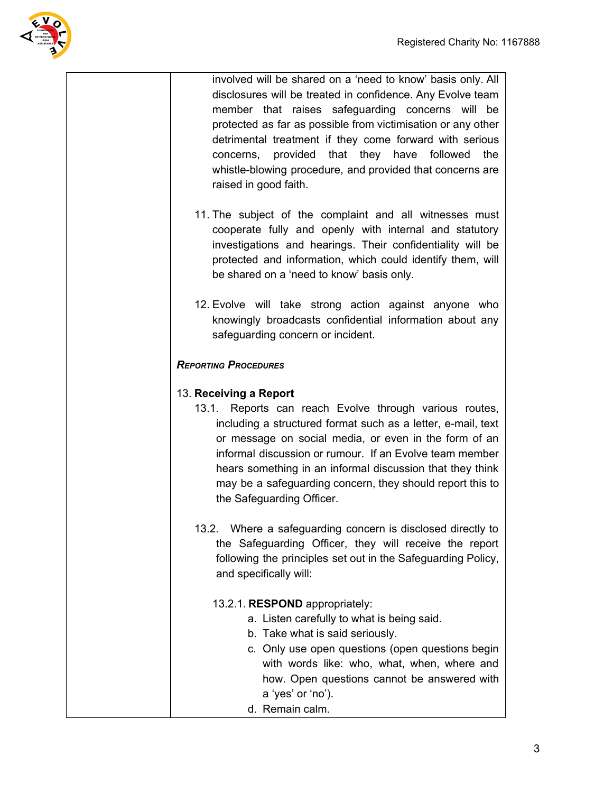

involved will be shared on a 'need to know' basis only. All disclosures will be treated in confidence. Any Evolve team member that raises safeguarding concerns will be protected as far as possible from victimisation or any other detrimental treatment if they come forward with serious concerns, provided that they have followed the whistle-blowing procedure, and provided that concerns are raised in good faith.

- 11. The subject of the complaint and all witnesses must cooperate fully and openly with internal and statutory investigations and hearings. Their confidentiality will be protected and information, which could identify them, will be shared on a 'need to know' basis only.
- 12. Evolve will take strong action against anyone who knowingly broadcasts confidential information about any safeguarding concern or incident.

# *REPORTING PROCEDURES*

## 13. **Receiving a Report**

- 13.1. Reports can reach Evolve through various routes, including a structured format such as a letter, e-mail, text or message on social media, or even in the form of an informal discussion or rumour. If an Evolve team member hears something in an informal discussion that they think may be a safeguarding concern, they should report this to the Safeguarding Officer.
- 13.2. Where a safeguarding concern is disclosed directly to the Safeguarding Officer, they will receive the report following the principles set out in the Safeguarding Policy, and specifically will:

### 13.2.1. **RESPOND** appropriately:

- a. Listen carefully to what is being said.
- b. Take what is said seriously.
- c. Only use open questions (open questions begin with words like: who, what, when, where and how. Open questions cannot be answered with a 'yes' or 'no').
- d. Remain calm.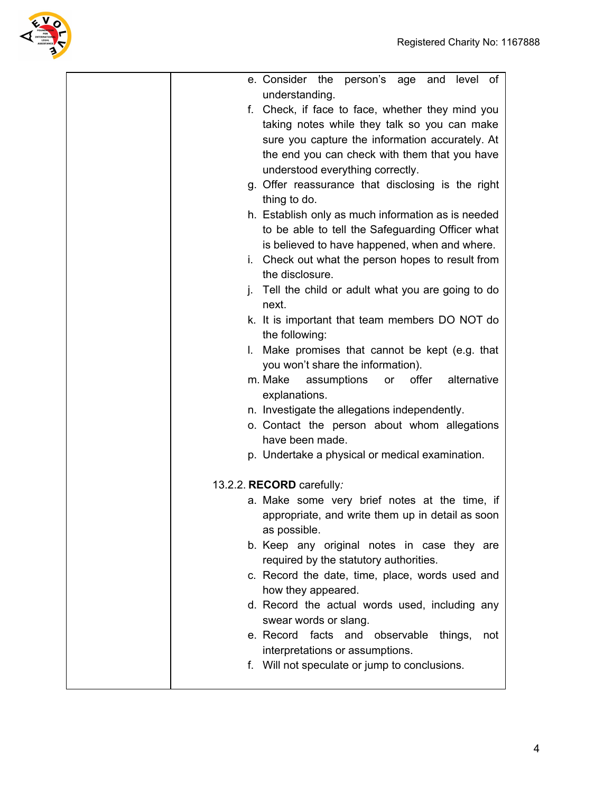

| e. Consider the person's age and level of           |
|-----------------------------------------------------|
| understanding.                                      |
| f. Check, if face to face, whether they mind you    |
| taking notes while they talk so you can make        |
| sure you capture the information accurately. At     |
| the end you can check with them that you have       |
| understood everything correctly.                    |
| g. Offer reassurance that disclosing is the right   |
| thing to do.                                        |
| h. Establish only as much information as is needed  |
| to be able to tell the Safeguarding Officer what    |
| is believed to have happened, when and where.       |
| i. Check out what the person hopes to result from   |
| the disclosure.                                     |
| j. Tell the child or adult what you are going to do |
| next.                                               |
| k. It is important that team members DO NOT do      |
| the following:                                      |
| I. Make promises that cannot be kept (e.g. that     |
| you won't share the information).                   |
| offer alternative<br>m. Make<br>assumptions<br>or   |
| explanations.                                       |
| n. Investigate the allegations independently.       |
| o. Contact the person about whom allegations        |
| have been made.                                     |
| p. Undertake a physical or medical examination.     |
|                                                     |
| 13.2.2. RECORD carefully:                           |
| a. Make some very brief notes at the time, if       |
| appropriate, and write them up in detail as soon    |
| as possible.                                        |
| b. Keep any original notes in case they are         |
| required by the statutory authorities.              |
| c. Record the date, time, place, words used and     |
| how they appeared.                                  |
| d. Record the actual words used, including any      |
| swear words or slang.                               |
| e. Record facts and observable things,<br>not       |
| interpretations or assumptions.                     |
| f. Will not speculate or jump to conclusions.       |
|                                                     |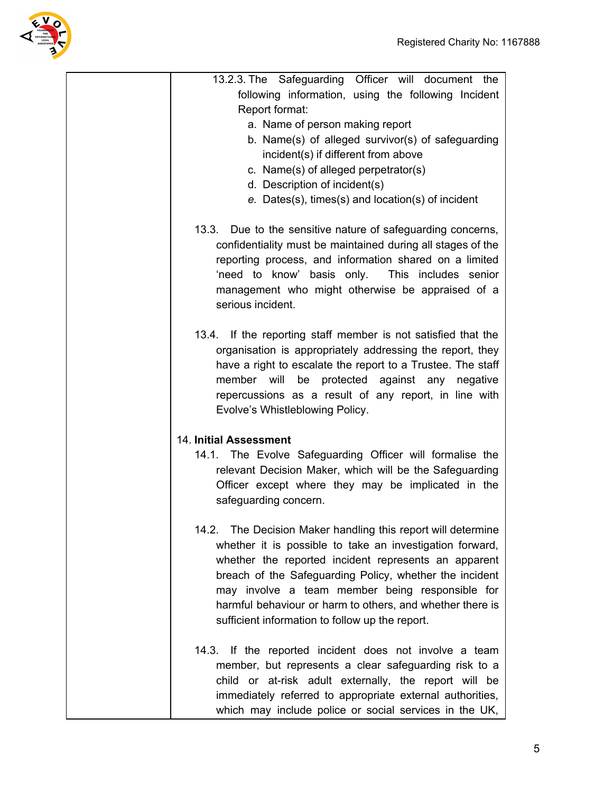

| 13.2.3. The Safeguarding Officer will document the                                                                                                                                                                                                                                                                                                                                                             |
|----------------------------------------------------------------------------------------------------------------------------------------------------------------------------------------------------------------------------------------------------------------------------------------------------------------------------------------------------------------------------------------------------------------|
| following information, using the following Incident                                                                                                                                                                                                                                                                                                                                                            |
| Report format:                                                                                                                                                                                                                                                                                                                                                                                                 |
| a. Name of person making report                                                                                                                                                                                                                                                                                                                                                                                |
| b. Name(s) of alleged survivor(s) of safeguarding                                                                                                                                                                                                                                                                                                                                                              |
| incident(s) if different from above                                                                                                                                                                                                                                                                                                                                                                            |
| c. Name(s) of alleged perpetrator(s)<br>d. Description of incident(s)                                                                                                                                                                                                                                                                                                                                          |
| e. Dates(s), times(s) and location(s) of incident                                                                                                                                                                                                                                                                                                                                                              |
|                                                                                                                                                                                                                                                                                                                                                                                                                |
| 13.3. Due to the sensitive nature of safeguarding concerns,<br>confidentiality must be maintained during all stages of the<br>reporting process, and information shared on a limited<br>'need to know' basis only.<br>This includes senior<br>management who might otherwise be appraised of a<br>serious incident.                                                                                            |
| 13.4. If the reporting staff member is not satisfied that the<br>organisation is appropriately addressing the report, they<br>have a right to escalate the report to a Trustee. The staff<br>protected against any negative<br>member will<br>be<br>repercussions as a result of any report, in line with<br>Evolve's Whistleblowing Policy.                                                                   |
| <b>14. Initial Assessment</b>                                                                                                                                                                                                                                                                                                                                                                                  |
| 14.1. The Evolve Safeguarding Officer will formalise the<br>relevant Decision Maker, which will be the Safeguarding<br>Officer except where they may be implicated in the<br>safeguarding concern.                                                                                                                                                                                                             |
| 14.2. The Decision Maker handling this report will determine<br>whether it is possible to take an investigation forward,<br>whether the reported incident represents an apparent<br>breach of the Safeguarding Policy, whether the incident<br>may involve a team member being responsible for<br>harmful behaviour or harm to others, and whether there is<br>sufficient information to follow up the report. |
| 14.3. If the reported incident does not involve a team<br>member, but represents a clear safeguarding risk to a<br>child or at-risk adult externally, the report will be<br>immediately referred to appropriate external authorities,<br>which may include police or social services in the UK,                                                                                                                |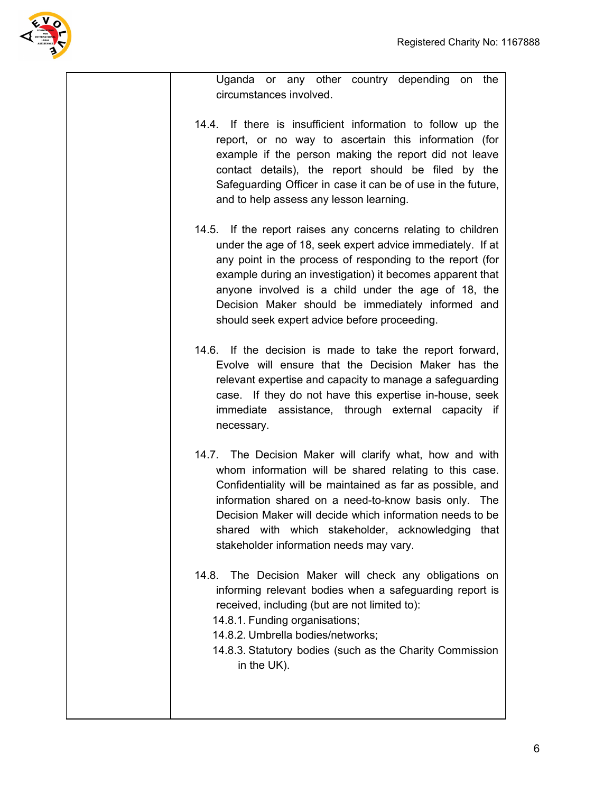

| Uganda or any other country depending on<br>the<br>circumstances involved.                                                                                                                                                                                                                                                                                                                                       |
|------------------------------------------------------------------------------------------------------------------------------------------------------------------------------------------------------------------------------------------------------------------------------------------------------------------------------------------------------------------------------------------------------------------|
| 14.4. If there is insufficient information to follow up the<br>report, or no way to ascertain this information (for<br>example if the person making the report did not leave<br>contact details), the report should be filed by the<br>Safeguarding Officer in case it can be of use in the future,<br>and to help assess any lesson learning.                                                                   |
| 14.5. If the report raises any concerns relating to children<br>under the age of 18, seek expert advice immediately. If at<br>any point in the process of responding to the report (for<br>example during an investigation) it becomes apparent that<br>anyone involved is a child under the age of 18, the<br>Decision Maker should be immediately informed and<br>should seek expert advice before proceeding. |
| 14.6. If the decision is made to take the report forward,<br>Evolve will ensure that the Decision Maker has the<br>relevant expertise and capacity to manage a safeguarding<br>case. If they do not have this expertise in-house, seek<br>immediate assistance, through external capacity if<br>necessary.                                                                                                       |
| 14.7. The Decision Maker will clarify what, how and with<br>whom information will be shared relating to this case.<br>Confidentiality will be maintained as far as possible, and<br>information shared on a need-to-know basis only. The<br>Decision Maker will decide which information needs to be<br>with which stakeholder, acknowledging<br>shared<br>that<br>stakeholder information needs may vary.       |
| The Decision Maker will check any obligations on<br>14.8.<br>informing relevant bodies when a safeguarding report is<br>received, including (but are not limited to):<br>14.8.1. Funding organisations;<br>14.8.2. Umbrella bodies/networks;<br>14.8.3. Statutory bodies (such as the Charity Commission<br>in the UK).                                                                                          |
|                                                                                                                                                                                                                                                                                                                                                                                                                  |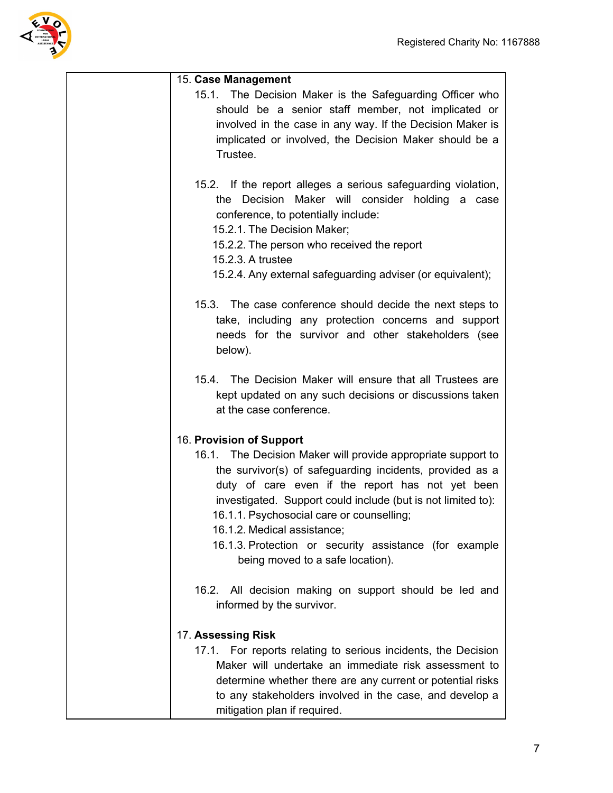

| 15. Case Management                                                                                                                                                                                                                                                                                                                                                                                                                                |
|----------------------------------------------------------------------------------------------------------------------------------------------------------------------------------------------------------------------------------------------------------------------------------------------------------------------------------------------------------------------------------------------------------------------------------------------------|
| 15.1. The Decision Maker is the Safeguarding Officer who<br>should be a senior staff member, not implicated or<br>involved in the case in any way. If the Decision Maker is<br>implicated or involved, the Decision Maker should be a<br>Trustee.                                                                                                                                                                                                  |
| 15.2. If the report alleges a serious safeguarding violation,<br>the Decision Maker will consider holding a case<br>conference, to potentially include:<br>15.2.1. The Decision Maker;<br>15.2.2. The person who received the report<br>15.2.3. A trustee<br>15.2.4. Any external safeguarding adviser (or equivalent);                                                                                                                            |
| 15.3. The case conference should decide the next steps to<br>take, including any protection concerns and support<br>needs for the survivor and other stakeholders (see<br>below).                                                                                                                                                                                                                                                                  |
| 15.4. The Decision Maker will ensure that all Trustees are<br>kept updated on any such decisions or discussions taken<br>at the case conference.                                                                                                                                                                                                                                                                                                   |
| 16. Provision of Support<br>16.1. The Decision Maker will provide appropriate support to<br>the survivor(s) of safeguarding incidents, provided as a<br>duty of care even if the report has not yet been<br>investigated. Support could include (but is not limited to):<br>16.1.1. Psychosocial care or counselling;<br>16.1.2. Medical assistance;<br>16.1.3. Protection or security assistance (for example<br>being moved to a safe location). |
| All decision making on support should be led and<br>16.2.<br>informed by the survivor.                                                                                                                                                                                                                                                                                                                                                             |
| 17. Assessing Risk<br>17.1. For reports relating to serious incidents, the Decision<br>Maker will undertake an immediate risk assessment to<br>determine whether there are any current or potential risks<br>to any stakeholders involved in the case, and develop a<br>mitigation plan if required.                                                                                                                                               |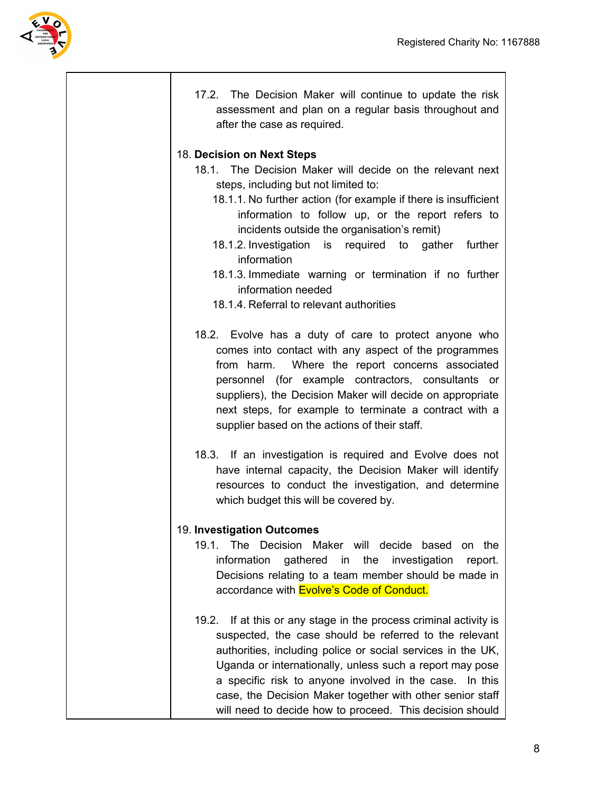

17.2. The Decision Maker will continue to update the risk assessment and plan on a regular basis throughout and after the case as required. 18. **Decision on Next Steps** 18.1. The Decision Maker will decide on the relevant next steps, including but not limited to: 18.1.1. No further action (for example if there is insufficient information to follow up, or the report refers to incidents outside the organisation's remit) 18.1.2. Investigation is required to gather further information 18.1.3. Immediate warning or termination if no further information needed 18.1.4. Referral to relevant authorities 18.2. Evolve has a duty of care to protect anyone who comes into contact with any aspect of the programmes from harm. Where the report concerns associated personnel (for example contractors, consultants or suppliers), the Decision Maker will decide on appropriate next steps, for example to terminate a contract with a supplier based on the actions of their staff. 18.3. If an investigation is required and Evolve does not have internal capacity, the Decision Maker will identify resources to conduct the investigation, and determine which budget this will be covered by. 19. **Investigation Outcomes** 19.1. The Decision Maker will decide based on the information gathered in the investigation report. Decisions relating to a team member should be made in accordance with **Evolve's Code of Conduct.** 19.2. If at this or any stage in the process criminal activity is suspected, the case should be referred to the relevant authorities, including police or social services in the UK, Uganda or internationally, unless such a report may pose a specific risk to anyone involved in the case. In this case, the Decision Maker together with other senior staff will need to decide how to proceed. This decision should